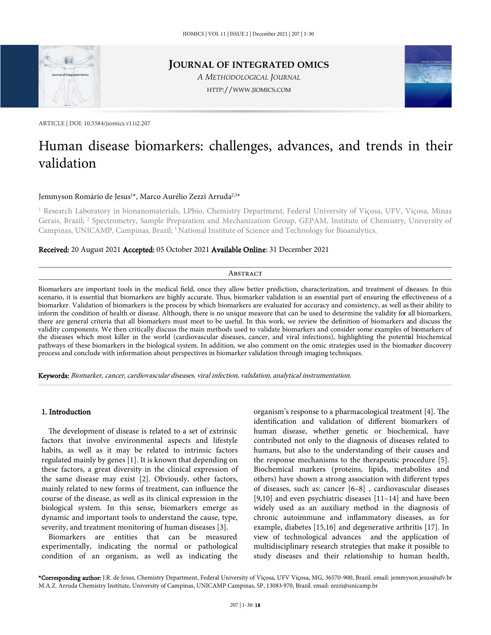

# **JOURNAL OF INTEGRATED OMICS**

*A METHODOLOGICAL JOURNAL* HTTP://WWW.JIOMICS.COM



ARTICLE | DOI: 10.5584/jiomics.v11i2.207

# Human disease biomarkers: challenges, advances, and trends in their validation

# Jemmyson Romário de Jesus<sup>1</sup>\*, Marco Aurélio Zezzi Arruda<sup>2,3</sup>\*

<sup>1</sup> Research Laboratory in bionanomaterials, LPbio, Chemistry Department, Federal University of Viçosa, UFV, Viçosa, Minas Gerais, Brazil; <sup>2</sup> Spectrometry, Sample Preparation and Mechanization Group, GEPAM, Institute of Chemistry, University of Campinas, UNICAMP, Campinas, Brazil;<sup>3</sup> National Institute of Science and Technology for Bioanalytics.

## Received: 20 August 2021 Accepted: 05 October 2021 Available Online: 31 December 2021

#### **ABSTRACT**

Biomarkers are important tools in the medical field, once they allow better prediction, characterization, and treatment of diseases. In this scenario, it is essential that biomarkers are highly accurate. Thus, biomarker validation is an essential part of ensuring the effectiveness of a biomarker. Validation of biomarkers is the process by which biomarkers are evaluated for accuracy and consistency, as well astheir ability to inform the condition of health or disease. Although, there is no unique measure that can be used to determine the validity for all biomarkers, there are general criteria that all biomarkers must meet to be useful. In this work, we review the definition of biomarkers and discuss the validity components. We then critically discuss the main methods used to validate biomarkers and consider some examples of biomarkers of the diseases which most killer in the world (cardiovascular diseases, cancer, and viral infections), highlighting the potential biochemical pathways of these biomarkers in the biological system. In addition, we also comment on the omic strategies used in the biomarker discovery process and conclude with information about perspectives in biomarker validation through imaging techniques.

Keywords: Biomarker, cancer, cardiovascular diseases, viral infection, validation, analytical instrumentation.

## 1. Introduction

The development of disease is related to a set of extrinsic factors that involve environmental aspects and lifestyle habits, as well as it may be related to intrinsic factors regulated mainly by genes [1]. It is known that depending on these factors, a great diversity in the clinical expression of the same disease may exist [2]. Obviously, other factors, mainly related to new forms of treatment, can influence the course of the disease, as well as its clinical expression in the biological system. In this sense, biomarkers emerge as dynamic and important tools to understand the cause, type, severity, and treatment monitoring of human diseases [3].

Biomarkers are entities that can be measured experimentally, indicating the normal or pathological condition of an organism, as well as indicating the

organism's response to a pharmacological treatment [4]. The identification and validation of different biomarkers of human disease, whether genetic or biochemical, have contributed not only to the diagnosis of diseases related to humans, but also to the understanding of their causes and the response mechanisms to the therapeutic procedure [5]. Biochemical markers (proteins, lipids, metabolites and others) have shown a strong association with different types of diseases, such as: cancer [6–8] , cardiovascular diseases [9,10] and even psychiatric diseases [11–14] and have been widely used as an auxiliary method in the diagnosis of chronic autoimmune and inflammatory diseases, as for example, diabetes [15,16] and degenerative arthritis [17]. In view of technological advances and the application of multidisciplinary research strategies that make it possible to study diseases and their relationship to human health,

\*Corresponding author: J.R. de Jesus, Chemistry Department, Federal University of Viçosa, UFV Viçosa, MG, 36570-900, Brazil. email: jemmyson.jesus@ufv.br M.A.Z. Arruda Chemistry Institute, University of Campinas, UNICAMP Campinas, SP, 13083-970, Brazil. email: zezzi@unicamp.br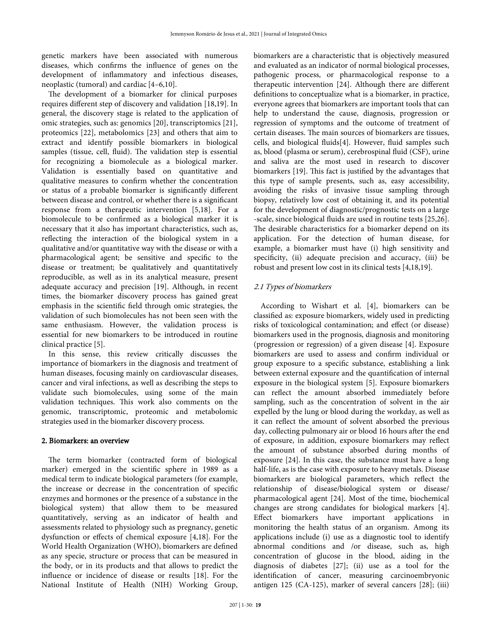genetic markers have been associated with numerous diseases, which confirms the influence of genes on the development of inflammatory and infectious diseases, neoplastic (tumoral) and cardiac [4–6,10].

The development of a biomarker for clinical purposes requires different step of discovery and validation [18,19]. In general, the discovery stage is related to the application of omic strategies, such as: genomics [20], transcriptomics [21], proteomics [22], metabolomics [23] and others that aim to extract and identify possible biomarkers in biological samples (tissue, cell, fluid). The validation step is essential for recognizing a biomolecule as a biological marker. Validation is essentially based on quantitative and qualitative measures to confirm whether the concentration or status of a probable biomarker is significantly different between disease and control, or whether there is a significant response from a therapeutic intervention [5,18]. For a biomolecule to be confirmed as a biological marker it is necessary that it also has important characteristics, such as, reflecting the interaction of the biological system in a qualitative and/or quantitative way with the disease or with a pharmacological agent; be sensitive and specific to the disease or treatment; be qualitatively and quantitatively reproducible, as well as in its analytical measure, present adequate accuracy and precision [19]. Although, in recent times, the biomarker discovery process has gained great emphasis in the scientific field through omic strategies, the validation of such biomolecules has not been seen with the same enthusiasm. However, the validation process is essential for new biomarkers to be introduced in routine clinical practice [5].

In this sense, this review critically discusses the importance of biomarkers in the diagnosis and treatment of human diseases, focusing mainly on cardiovascular diseases, cancer and viral infections, as well as describing the steps to validate such biomolecules, using some of the main validation techniques. This work also comments on the genomic, transcriptomic, proteomic and metabolomic strategies used in the biomarker discovery process.

## 2. Biomarkers: an overview

The term biomarker (contracted form of biological marker) emerged in the scientific sphere in 1989 as a medical term to indicate biological parameters (for example, the increase or decrease in the concentration of specific enzymes and hormones or the presence of a substance in the biological system) that allow them to be measured quantitatively, serving as an indicator of health and assessments related to physiology such as pregnancy, genetic dysfunction or effects of chemical exposure [4,18]. For the World Health Organization (WHO), biomarkers are defined as any specie, structure or process that can be measured in the body, or in its products and that allows to predict the influence or incidence of disease or results [18]. For the National Institute of Health (NIH) Working Group,

biomarkers are a characteristic that is objectively measured and evaluated as an indicator of normal biological processes, pathogenic process, or pharmacological response to a therapeutic intervention [24]. Although there are different definitions to conceptualize what is a biomarker, in practice, everyone agrees that biomarkers are important tools that can help to understand the cause, diagnosis, progression or regression of symptoms and the outcome of treatment of certain diseases. The main sources of biomarkers are tissues, cells, and biological fluids[4]. However, fluid samples such as, blood (plasma or serum), cerebrospinal fluid (CSF), urine and saliva are the most used in research to discover biomarkers [19]. This fact is justified by the advantages that this type of sample presents, such as, easy accessibility, avoiding the risks of invasive tissue sampling through biopsy, relatively low cost of obtaining it, and its potential for the development of diagnostic/prognostic tests on a large -scale, since biological fluids are used in routine tests [25,26]. The desirable characteristics for a biomarker depend on its application. For the detection of human disease, for example, a biomarker must have (i) high sensitivity and specificity, (ii) adequate precision and accuracy, (iii) be robust and present low cost in its clinical tests [4,18,19].

## 2.1 Types of biomarkers

According to Wishart et al. [4], biomarkers can be classified as: exposure biomarkers, widely used in predicting risks of toxicological contamination; and effect (or disease) biomarkers used in the prognosis, diagnosis and monitoring (progression or regression) of a given disease [4]. Exposure biomarkers are used to assess and confirm individual or group exposure to a specific substance, establishing a link between external exposure and the quantification of internal exposure in the biological system [5]. Exposure biomarkers can reflect the amount absorbed immediately before sampling, such as the concentration of solvent in the air expelled by the lung or blood during the workday, as well as it can reflect the amount of solvent absorbed the previous day, collecting pulmonary air or blood 16 hours after the end of exposure, in addition, exposure biomarkers may reflect the amount of substance absorbed during months of exposure [24]. In this case, the substance must have a long half-life, as is the case with exposure to heavy metals. Disease biomarkers are biological parameters, which reflect the relationship of disease/biological system or disease/ pharmacological agent [24]. Most of the time, biochemical changes are strong candidates for biological markers [4]. Effect biomarkers have important applications in monitoring the health status of an organism. Among its applications include (i) use as a diagnostic tool to identify abnormal conditions and /or disease, such as, high concentration of glucose in the blood, aiding in the diagnosis of diabetes [27]; (ii) use as a tool for the identification of cancer, measuring carcinoembryonic antigen 125 (CA-125), marker of several cancers [28]; (iii)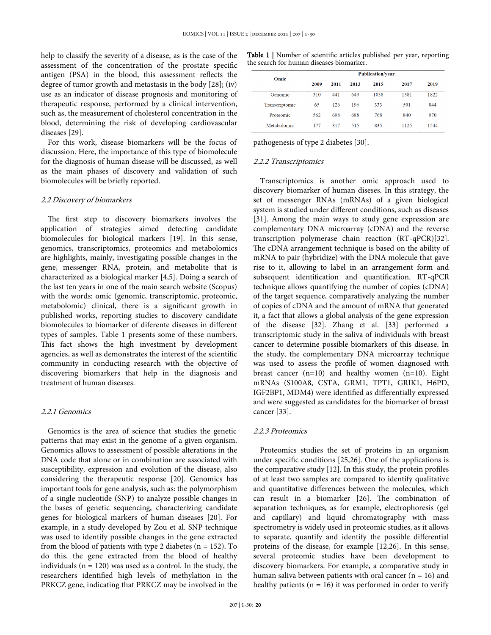help to classify the severity of a disease, as is the case of the assessment of the concentration of the prostate specific antigen (PSA) in the blood, this assessment reflects the degree of tumor growth and metastasis in the body [28]; (iv) use as an indicator of disease prognosis and monitoring of therapeutic response, performed by a clinical intervention, such as, the measurement of cholesterol concentration in the blood, determining the risk of developing cardiovascular diseases [29].

For this work, disease biomarkers will be the focus of discussion. Here, the importance of this type of biomolecule for the diagnosis of human disease will be discussed, as well as the main phases of discovery and validation of such biomolecules will be briefly reported.

#### 2.2 Discovery of biomarkers

The first step to discovery biomarkers involves the application of strategies aimed detecting candidate biomolecules for biological markers [19]. In this sense, genomics, transcriptomics, proteomics and metabolomics are highlights, mainly, investigating possible changes in the gene, messenger RNA, protein, and metabolite that is characterized as a biological marker [4,5]. Doing a search of the last ten years in one of the main search website (Scopus) with the words: omic (genomic, transcriptomic, proteomic, metabolomic) clinical, there is a significant growth in published works, reporting studies to discovery candidate biomolecules to biomarker of diferente diseases in different types of samples. Table 1 presents some of these numbers. This fact shows the high investment by development agencies, as well as demonstrates the interest of the scientific community in conducting research with the objective of discovering biomarkers that help in the diagnosis and treatment of human diseases.

#### 2.2.1 Genomics

Genomics is the area of science that studies the genetic patterns that may exist in the genome of a given organism. Genomics allows to assessment of possible alterations in the DNA code that alone or in combination are associated with susceptibility, expression and evolution of the disease, also considering the therapeutic response [20]. Genomics has important tools for gene analysis, such as: the polymorphism of a single nucleotide (SNP) to analyze possible changes in the bases of genetic sequencing, characterizing candidate genes for biological markers of human diseases [20]. For example, in a study developed by Zou et al. SNP technique was used to identify possible changes in the gene extracted from the blood of patients with type 2 diabetes ( $n = 152$ ). To do this, the gene extracted from the blood of healthy individuals ( $n = 120$ ) was used as a control. In the study, the researchers identified high levels of methylation in the PRKCZ gene, indicating that PRKCZ may be involved in the

Table 1 | Number of scientific articles published per year, reporting the search for human diseases biomarker.

| Omic           | <b>Publication/year</b> |      |      |      |      |      |  |  |
|----------------|-------------------------|------|------|------|------|------|--|--|
|                | 2009                    | 2011 | 2013 | 2015 | 2017 | 2019 |  |  |
| <b>Genomic</b> | 310                     | 441  | 649  | 1038 | 1381 | 1822 |  |  |
| Transcriptomic | 65                      | 126  | 196  | 333  | 501  | 844  |  |  |
| Proteomic      | 562                     | 698  | 688  | 768  | 840  | 970  |  |  |
| Metabolomic    | 177                     | 317  | 515  | 835  | 1125 | 1544 |  |  |

pathogenesis of type 2 diabetes [30].

#### 2.2.2 Transcriptomics

Transcriptomics is another omic approach used to discovery biomarker of human diseses. In this strategy, the set of messenger RNAs (mRNAs) of a given biological system is studied under different conditions, such as diseases [31]. Among the main ways to study gene expression are complementary DNA microarray (cDNA) and the reverse transcription polymerase chain reaction (RT-qPCR)[32]. The cDNA arrangement technique is based on the ability of mRNA to pair (hybridize) with the DNA molecule that gave rise to it, allowing to label in an arrangement form and subsequent identification and quantification. RT-qPCR technique allows quantifying the number of copies (cDNA) of the target sequence, comparatively analyzing the number of copies of cDNA and the amount of mRNA that generated it, a fact that allows a global analysis of the gene expression of the disease [32]. Zhang et al. [33] performed a transcriptomic study in the saliva of individuals with breast cancer to determine possible biomarkers of this disease. In the study, the complementary DNA microarray technique was used to assess the profile of women diagnosed with breast cancer  $(n=10)$  and healthy women  $(n=10)$ . Eight mRNAs (S100A8, CSTA, GRM1, TPT1, GRIK1, H6PD, IGF2BP1, MDM4) were identified as differentially expressed and were suggested as candidates for the biomarker of breast cancer [33].

#### 2.2.3 Proteomics

Proteomics studies the set of proteins in an organism under specific conditions [25,26]. One of the applications is the comparative study [12]. In this study, the protein profiles of at least two samples are compared to identify qualitative and quantitative differences between the molecules, which can result in a biomarker [26]. The combination of separation techniques, as for example, electrophoresis (gel and capillary) and liquid chromatography with mass spectrometry is widely used in proteomic studies, as it allows to separate, quantify and identify the possible differential proteins of the disease, for example [12,26]. In this sense, several proteomic studies have been development to discovery biomarkers. For example, a comparative study in human saliva between patients with oral cancer  $(n = 16)$  and healthy patients ( $n = 16$ ) it was performed in order to verify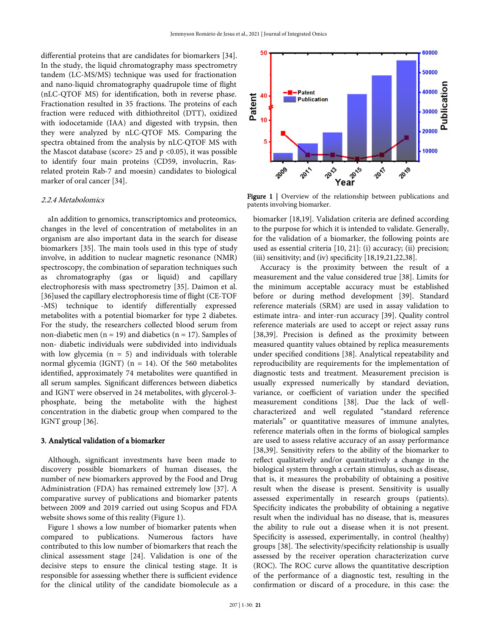differential proteins that are candidates for biomarkers [34]. In the study, the liquid chromatography mass spectrometry tandem (LC-MS/MS) technique was used for fractionation and nano-liquid chromatography quadrupole time of flight (nLC-QTOF MS) for identification, both in reverse phase. Fractionation resulted in 35 fractions. The proteins of each fraction were reduced with dithiothreitol (DTT), oxidized with iodocetamide (IAA) and digested with trypsin, then they were analyzed by nLC-QTOF MS. Comparing the spectra obtained from the analysis by nLC-QTOF MS with the Mascot database (score> 25 and  $p \le 0.05$ ), it was possible to identify four main proteins (CD59, involucrin, Rasrelated protein Rab-7 and moesin) candidates to biological marker of oral cancer [34].

#### 2.2.4 Metabolomics

aIn addition to genomics, transcriptomics and proteomics, changes in the level of concentration of metabolites in an organism are also important data in the search for disease biomarkers [35]. The main tools used in this type of study involve, in addition to nuclear magnetic resonance (NMR) spectroscopy, the combination of separation techniques such as chromatography (gas or liquid) and capillary electrophoresis with mass spectrometry [35]. Daimon et al. [36]used the capillary electrophoresis time of flight (CE-TOF -MS) technique to identify differentially expressed metabolites with a potential biomarker for type 2 diabetes. For the study, the researchers collected blood serum from non-diabetic men ( $n = 19$ ) and diabetics ( $n = 17$ ). Samples of non- diabetic individuals were subdivided into individuals with low glycemia ( $n = 5$ ) and individuals with tolerable normal glycemia (IGNT) ( $n = 14$ ). Of the 560 metabolites identified, approximately 74 metabolites were quantified in all serum samples. Significant differences between diabetics and IGNT were observed in 24 metabolites, with glycerol-3 phosphate, being the metabolite with the highest concentration in the diabetic group when compared to the IGNT group [36].

## 3. Analytical validation of a biomarker

Although, significant investments have been made to discovery possible biomarkers of human diseases, the number of new biomarkers approved by the Food and Drug Administration (FDA) has remained extremely low [37]. A comparative survey of publications and biomarker patents between 2009 and 2019 carried out using Scopus and FDA website shows some of this reality (Figure 1).

Figure 1 shows a low number of biomarker patents when compared to publications. Numerous factors have contributed to this low number of biomarkers that reach the clinical assessment stage [24]. Validation is one of the decisive steps to ensure the clinical testing stage. It is responsible for assessing whether there is sufficient evidence for the clinical utility of the candidate biomolecule as a



Figure 1 | Overview of the relationship between publications and patents involving biomarker.

biomarker [18,19]. Validation criteria are defined according to the purpose for which it is intended to validate. Generally, for the validation of a biomarker, the following points are used as essential criteria [10, 21]: (i) accuracy; (ii) precision; (iii) sensitivity; and (iv) specificity  $[18,19,21,22,38]$ .

Accuracy is the proximity between the result of a measurement and the value considered true [38]. Limits for the minimum acceptable accuracy must be established before or during method development [39]. Standard reference materials (SRM) are used in assay validation to estimate intra- and inter-run accuracy [39]. Quality control reference materials are used to accept or reject assay runs [38,39]. Precision is defined as the proximity between measured quantity values obtained by replica measurements under specified conditions [38]. Analytical repeatability and reproducibility are requirements for the implementation of diagnostic tests and treatment. Measurement precision is usually expressed numerically by standard deviation, variance, or coefficient of variation under the specified measurement conditions [38]. Due the lack of wellcharacterized and well regulated "standard reference materials" or quantitative measures of immune analytes, reference materials often in the forms of biological samples are used to assess relative accuracy of an assay performance [38,39]. Sensitivity refers to the ability of the biomarker to reflect qualitatively and/or quantitatively a change in the biological system through a certain stimulus, such as disease, that is, it measures the probability of obtaining a positive result when the disease is present. Sensitivity is usually assessed experimentally in research groups (patients). Specificity indicates the probability of obtaining a negative result when the individual has no disease, that is, measures the ability to rule out a disease when it is not present. Specificity is assessed, experimentally, in control (healthy) groups [38]. The selectivity/specificity relationship is usually assessed by the receiver operation characterization curve (ROC). The ROC curve allows the quantitative description of the performance of a diagnostic test, resulting in the confirmation or discard of a procedure, in this case: the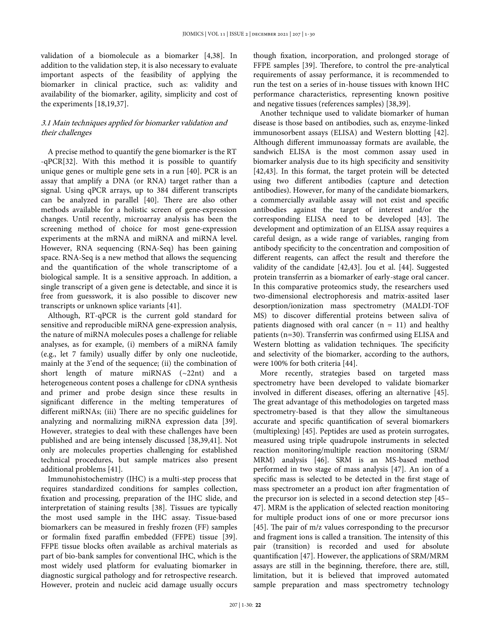validation of a biomolecule as a biomarker [4,38]. In addition to the validation step, it is also necessary to evaluate important aspects of the feasibility of applying the biomarker in clinical practice, such as: validity and availability of the biomarker, agility, simplicity and cost of the experiments [18,19,37].

# 3.1 Main techniques applied for biomarker validation and their challenges

A precise method to quantify the gene biomarker is the RT -qPCR[32]. With this method it is possible to quantify unique genes or multiple gene sets in a run [40]. PCR is an assay that amplify a DNA (or RNA) target rather than a signal. Using qPCR arrays, up to 384 different transcripts can be analyzed in parallel [40]. There are also other methods available for a holistic screen of gene-expression changes. Until recently, microarray analysis has been the screening method of choice for most gene-expression experiments at the mRNA and miRNA and miRNA level. However, RNA sequencing (RNA-Seq) has been gaining space. RNA-Seq is a new method that allows the sequencing and the quantification of the whole transcriptome of a biological sample. It is a sensitive approach. In addition, a single transcript of a given gene is detectable, and since it is free from guesswork, it is also possible to discover new transcripts or unknown splice variants [41].

Although, RT-qPCR is the current gold standard for sensitive and reproducible miRNA gene-expression analysis, the nature of miRNA molecules poses a challenge for reliable analyses, as for example, (i) members of a miRNA family (e.g., let 7 family) usually differ by only one nucleotide, mainly at the 3'end of the sequence; (ii) the combination of short length of mature miRNAS (~22nt) and a heterogeneous content poses a challenge for cDNA synthesis and primer and probe design since these results in significant difference in the melting temperatures of different miRNAs; (iii) There are no specific guidelines for analyzing and normalizing miRNA expression data [39]. However, strategies to deal with these challenges have been published and are being intensely discussed [38,39,41]. Not only are molecules properties challenging for established technical procedures, but sample matrices also present additional problems [41].

Immunohistochemistry (IHC) is a multi-step process that requires standardized conditions for samples collection, fixation and processing, preparation of the IHC slide, and interpretation of staining results [38]. Tissues are typically the most used sample in the IHC assay. Tissue-based biomarkers can be measured in freshly frozen (FF) samples or formalin fixed paraffin embedded (FFPE) tissue [39]. FFPE tissue blocks often available as archival materials as part of bio-bank samples for conventional IHC, which is the most widely used platform for evaluating biomarker in diagnostic surgical pathology and for retrospective research. However, protein and nucleic acid damage usually occurs though fixation, incorporation, and prolonged storage of FFPE samples [39]. Therefore, to control the pre-analytical requirements of assay performance, it is recommended to run the test on a series of in-house tissues with known IHC performance characteristics, representing known positive and negative tissues (references samples) [38,39].

Another technique used to validate biomarker of human disease is those based on antibodies, such as, enzyme-linked immunosorbent assays (ELISA) and Western blotting [42]. Although different immunoassay formats are available, the sandwich ELISA is the most common assay used in biomarker analysis due to its high specificity and sensitivity [42,43]. In this format, the target protein will be detected using two different antibodies (capture and detection antibodies). However, for many of the candidate biomarkers, a commercially available assay will not exist and specific antibodies against the target of interest and/or the corresponding ELISA need to be developed [43]. The development and optimization of an ELISA assay requires a careful design, as a wide range of variables, ranging from antibody specificity to the concentration and composition of different reagents, can affect the result and therefore the validity of the candidate [42,43]. Jou et al. [44]. Suggested protein transferrin as a biomarker of early-stage oral cancer. In this comparative proteomics study, the researchers used two-dimensional electrophoresis and matrix-assited laser desorption/ionization mass spectrometry (MALDI-TOF MS) to discover differential proteins between saliva of patients diagnosed with oral cancer  $(n = 11)$  and healthy patients (n=30). Transferrin was confirmed using ELISA and Western blotting as validation techniques. The specificity and selectivity of the biomarker, according to the authors, were 100% for both criteria [44].

More recently, strategies based on targeted mass spectrometry have been developed to validate biomarker involved in different diseases, offering an alternative [45]. The great advantage of this methodologies on targeted mass spectrometry-based is that they allow the simultaneous accurate and specific quantification of several biomarkers (multiplexing) [45]. Peptides are used as protein surrogates, measured using triple quadrupole instruments in selected reaction monitoring/multiple reaction monitoring (SRM/ MRM) analysis [46]. SRM is an MS-based method performed in two stage of mass analysis [47]. An ion of a specific mass is selected to be detected in the first stage of mass spectrometer an a product ion after fragmentation of the precursor ion is selected in a second detection step [45– 47]. MRM is the application of selected reaction monitoring for multiple product ions of one or more precursor ions [45]. The pair of m/z values corresponding to the precursor and fragment ions is called a transition. The intensity of this pair (transition) is recorded and used for absolute quantification [47]. However, the applications of SRM/MRM assays are still in the beginning, therefore, there are, still, limitation, but it is believed that improved automated sample preparation and mass spectrometry technology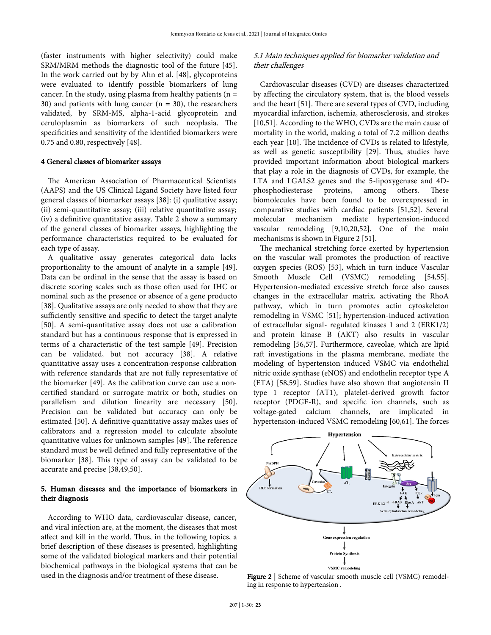(faster instruments with higher selectivity) could make SRM/MRM methods the diagnostic tool of the future [45]. In the work carried out by by Ahn et al. [48], glycoproteins were evaluated to identify possible biomarkers of lung cancer. In the study, using plasma from healthy patients ( $n =$ 30) and patients with lung cancer  $(n = 30)$ , the researchers validated, by SRM-MS, alpha-1-acid glycoprotein and ceruloplasmin as biomarkers of such neoplasia. The specificities and sensitivity of the identified biomarkers were 0.75 and 0.80, respectively [48].

#### 4 General classes of biomarker assays

The American Association of Pharmaceutical Scientists (AAPS) and the US Clinical Ligand Society have listed four general classes of biomarker assays [38]: (i) qualitative assay; (ii) semi-quantitative assay; (iii) relative quantitative assay; (iv) a definitive quantitative assay. Table 2 show a summary of the general classes of biomarker assays, highlighting the performance characteristics required to be evaluated for each type of assay.

A qualitative assay generates categorical data lacks proportionality to the amount of analyte in a sample [49]. Data can be ordinal in the sense that the assay is based on discrete scoring scales such as those often used for IHC or nominal such as the presence or absence of a gene producto [38]. Qualitative assays are only needed to show that they are sufficiently sensitive and specific to detect the target analyte [50]. A semi-quantitative assay does not use a calibration standard but has a continuous response that is expressed in terms of a characteristic of the test sample [49]. Precision can be validated, but not accuracy [38]. A relative quantitative assay uses a concentration-response calibration with reference standards that are not fully representative of the biomarker [49]. As the calibration curve can use a noncertified standard or surrogate matrix or both, studies on parallelism and dilution linearity are necessary [50]. Precision can be validated but accuracy can only be estimated [50]. A definitive quantitative assay makes uses of calibrators and a regression model to calculate absolute quantitative values for unknown samples [49]. The reference standard must be well defined and fully representative of the biomarker [38]. This type of assay can be validated to be accurate and precise [38,49,50].

## 5. Human diseases and the importance of biomarkers in their diagnosis

According to WHO data, cardiovascular disease, cancer, and viral infection are, at the moment, the diseases that most affect and kill in the world. Thus, in the following topics, a brief description of these diseases is presented, highlighting some of the validated biological markers and their potential biochemical pathways in the biological systems that can be used in the diagnosis and/or treatment of these disease.

## 5.1 Main techniques applied for biomarker validation and their challenges

Cardiovascular diseases (CVD) are diseases characterized by affecting the circulatory system, that is, the blood vessels and the heart [51]. There are several types of CVD, including myocardial infarction, ischemia, atherosclerosis, and strokes [10,51]. According to the WHO, CVDs are the main cause of mortality in the world, making a total of 7.2 million deaths each year [10]. The incidence of CVDs is related to lifestyle, as well as genetic susceptibility [29]. Thus, studies have provided important information about biological markers that play a role in the diagnosis of CVDs, for example, the LTA and LGALS2 genes and the 5-lipoxygenase and 4Dphosphodiesterase proteins, among others. These biomolecules have been found to be overexpressed in comparative studies with cardiac patients [51,52]. Several molecular mechanism mediate hypertension-induced vascular remodeling [9,10,20,52]. One of the main mechanisms is shown in Figure 2 [51].

The mechanical stretching force exerted by hypertension on the vascular wall promotes the production of reactive oxygen species (ROS) [53], which in turn induce Vascular Smooth Muscle Cell (VSMC) remodeling [54,55]. Hypertension-mediated excessive stretch force also causes changes in the extracellular matrix, activating the RhoA pathway, which in turn promotes actin cytoskeleton remodeling in VSMC [51]; hypertension-induced activation of extracellular signal- regulated kinases 1 and 2 (ERK1/2) and protein kinase B (AKT) also results in vascular remodeling [56,57]. Furthermore, caveolae, which are lipid raft investigations in the plasma membrane, mediate the modeling of hypertension induced VSMC via endothelial nitric oxide synthase (eNOS) and endothelin receptor type A (ETA) [58,59]. Studies have also shown that angiotensin II type 1 receptor (AT1), platelet-derived growth factor receptor (PDGF-R), and specific ion channels, such as voltage-gated calcium channels, are implicated in hypertension-induced VSMC remodeling [60,61]. The forces



Figure 2 | Scheme of vascular smooth muscle cell (VSMC) remodeling in response to hypertension .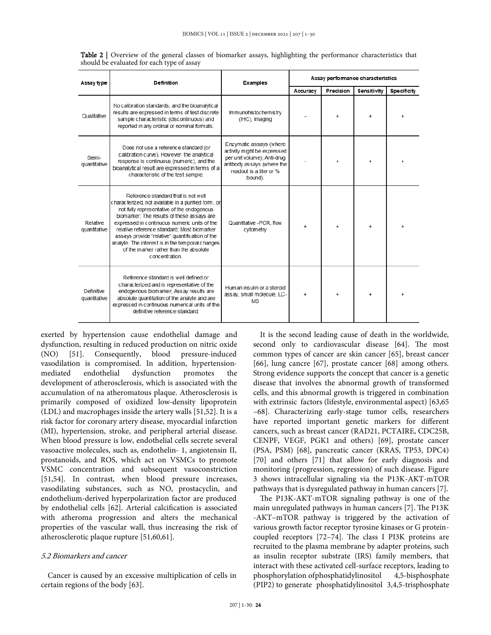| Assay type                      | Definition                                                                                                                                                                                                                                                                                                                                                                                                                                                | <b>Examples</b>                                                                                                                                           | Assay performance characteristics |           |             |                    |
|---------------------------------|-----------------------------------------------------------------------------------------------------------------------------------------------------------------------------------------------------------------------------------------------------------------------------------------------------------------------------------------------------------------------------------------------------------------------------------------------------------|-----------------------------------------------------------------------------------------------------------------------------------------------------------|-----------------------------------|-----------|-------------|--------------------|
|                                 |                                                                                                                                                                                                                                                                                                                                                                                                                                                           |                                                                                                                                                           | Accuracy                          | Precision | Sensitivity | <b>Specificity</b> |
| Qualitative                     | No calibration standards, and the bioanalytical<br>results are expressed in terms of test discrete<br>sample characteristic (discontinuous) and<br>reported in any ordinal or nominal formats.                                                                                                                                                                                                                                                            | <b>Immunohistochemistry</b><br>(IHC), imaging                                                                                                             |                                   | $\ddot{}$ | $\ddot{}$   |                    |
| Semi-<br>quantitative           | Does not use a reference standard (or<br>calibration curve). However, the analytical<br>response is continuous (numeric), and the<br>bioanalytical result are expressed in terms of a<br>characteristic of the test sample.                                                                                                                                                                                                                               | Enzymatic assays (where<br>activity might be expressed<br>per unit volume); Anti-drug<br>antibody assays (where the<br>readout is a titer or %<br>bound). |                                   | $\ddot{}$ | $\ddot{}$   |                    |
| <b>Relative</b><br>quantitative | Reference standard that is not well<br>characterized, not available in a purified form, or<br>not fully representative of the endogenous<br>biomarker; The results of these assays are<br>expressed in continuous numeric units of the<br>relative reference standard: Most biomarker<br>assays provide "relative" quantification of the<br>analyte. The interest is in the temporal changes<br>of the marker rather than the absolute<br>c oncentration. | Quantitative -PCR, flow<br>cytometry                                                                                                                      |                                   |           |             |                    |
| Definitive<br>quantitative      | Reference standard is well defined or<br>characterized and is representative of the<br>endogenous biomarker, Assay results are<br>absolute quantitation of the analyte and are<br>expressed in continuous numerical units of the<br>definitive reference standard                                                                                                                                                                                         | Human insulin or a steroid<br>assay, small molecule, LC-<br><b>MS</b>                                                                                     | $\ddot{}$                         | $\ddot{}$ |             |                    |

**Table 2** | Overview of the general classes of biomarker assays, highlighting the performance characteristics that should be evaluated for each type of assay

exerted by hypertension cause endothelial damage and dysfunction, resulting in reduced production on nitric oxide (NO) [51]. Consequently, blood pressure-induced vasodilation is compromised. In addition, hypertensionmediated endothelial dysfunction promotes the development of atherosclerosis, which is associated with the accumulation of na atheromatous plaque. Atherosclerosis is primarily composed of oxidized low-density lipoprotein (LDL) and macrophages inside the artery walls [51,52]. It is a risk factor for coronary artery disease, myocardial infarction (MI), hypertension, stroke, and peripheral arterial disease. When blood pressure is low, endothelial cells secrete several vasoactive molecules, such as, endothelin- 1, angiotensin II, prostanoids, and ROS, which act on VSMCs to promote VSMC concentration and subsequent vasoconstriction [51,54]. In contrast, when blood pressure increases, vasodilating substances, such as NO, prostacyclin, and endothelium-derived hyperpolarization factor are produced by endothelial cells [62]. Arterial calcification is associated with atheroma progression and alters the mechanical properties of the vascular wall, thus increasing the risk of atherosclerotic plaque rupture [51,60,61].

### 5.2 Biomarkers and cancer

Cancer is caused by an excessive multiplication of cells in certain regions of the body [63].

It is the second leading cause of death in the worldwide, second only to cardiovascular disease [64]. The most common types of cancer are skin cancer [65], breast cancer [66], lung cancre [67], prostate cancer [68] among others. Strong evidence supports the concept that cancer is a genetic disease that involves the abnormal growth of transformed cells, and this abnormal growth is triggered in combination with extrinsic factors (lifestyle, environmental aspect) [63,65 –68]. Characterizing early-stage tumor cells, researchers have reported important genetic markers for different cancers, such as breast cancer (RAD21, PCTAIRE, CDC25B, CENPF, VEGF, PGK1 and others) [69], prostate cancer (PSA, PSM) [68], pancreatic cancer (KRAS, TP53, DPC4) [70] and others [71] that allow for early diagnosis and monitoring (progression, regression) of such disease. Figure 3 shows intracellular signaling via the P13K-AKT-mTOR pathways that is dysregulated pathway in human cancers [7].

The P13K-AKT-mTOR signaling pathway is one of the main unregulated pathways in human cancers [7]. The P13K -AKT–mTOR pathway is triggered by the activation of various growth factor receptor tyrosine kinases or G proteincoupled receptors [72–74]. The class I PI3K proteins are recruited to the plasma membrane by adapter proteins, such as insulin receptor substrate (IRS) family members, that interact with these activated cell-surface receptors, leading to phosphorylation ofphosphatidylinositol 4,5-bisphosphate (PIP2) to generate phosphatidylinositol 3,4,5-trisphosphate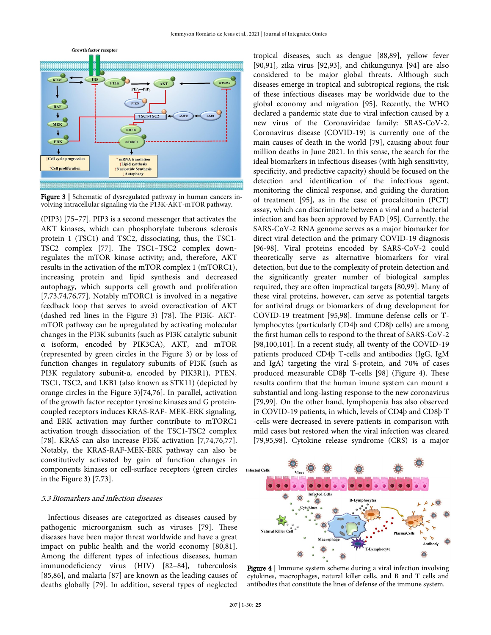

Figure 3 | Schematic of dysregulated pathway in human cancers involving intracellular signaling via the P13K-AKT-mTOR pathway.

(PIP3) [75–77]. PIP3 is a second messenger that activates the AKT kinases, which can phosphorylate tuberous sclerosis protein 1 (TSC1) and TSC2, dissociating, thus, the TSC1- TSC2 complex [77]. The TSC1–TSC2 complex downregulates the mTOR kinase activity; and, therefore, AKT results in the activation of the mTOR complex 1 (mTORC1), increasing protein and lipid synthesis and decreased autophagy, which supports cell growth and proliferation [7,73,74,76,77]. Notably mTORC1 is involved in a negative feedback loop that serves to avoid overactivation of AKT (dashed red lines in the Figure 3) [78]. The PI3K- AKTmTOR pathway can be upregulated by activating molecular changes in the PI3K subunits (such as PI3K catalytic subunit α isoform, encoded by PIK3CA), AKT, and mTOR (represented by green circles in the Figure 3) or by loss of function changes in regulatory subunits of PI3K (such as PI3K regulatory subunit-α, encoded by PIK3R1), PTEN, TSC1, TSC2, and LKB1 (also known as STK11) (depicted by orange circles in the Figure 3)[74,76]. In parallel, activation of the growth factor receptor tyrosine kinases and G proteincoupled receptors induces KRAS-RAF- MEK-ERK signaling, and ERK activation may further contribute to mTORC1 activation trough dissociation of the TSC1-TSC2 complex [78]. KRAS can also increase PI3K activation [7,74,76,77]. Notably, the KRAS-RAF-MEK-ERK pathway can also be constitutively activated by gain of function changes in components kinases or cell-surface receptors (green circles in the Figure 3) [7,73].

#### 5.3 Biomarkers and infection diseases

Infectious diseases are categorized as diseases caused by pathogenic microorganism such as viruses [79]. These diseases have been major threat worldwide and have a great impact on public health and the world economy [80,81]. Among the different types of infectious diseases, human immunodeficiency virus (HIV) [82–84], tuberculosis [85,86], and malaria [87] are known as the leading causes of deaths globally [79]. In addition, several types of neglected tropical diseases, such as dengue [88,89], yellow fever [90,91], zika virus [92,93], and chikungunya [94] are also considered to be major global threats. Although such diseases emerge in tropical and subtropical regions, the risk of these infectious diseases may be worldwide due to the global economy and migration [95]. Recently, the WHO declared a pandemic state due to viral infection caused by a new virus of the Coronaviridae family: SRAS-CoV-2. Coronavirus disease (COVID-19) is currently one of the main causes of death in the world [79], causing about four million deaths in June 2021. In this sense, the search for the ideal biomarkers in infectious diseases (with high sensitivity, specificity, and predictive capacity) should be focused on the detection and identification of the infectious agent, monitoring the clinical response, and guiding the duration of treatment [95], as in the case of procalcitonin (PCT) assay, which can discriminate between a viral and a bacterial infection and has been approved by FAD [95]. Currently, the SARS-CoV-2 RNA genome serves as a major biomarker for direct viral detection and the primary COVID-19 diagnosis [96-98]. Viral proteins encoded by SARS-CoV-2 could theoretically serve as alternative biomarkers for viral detection, but due to the complexity of protein detection and the significantly greater number of biological samples required, they are often impractical targets [80,99]. Many of these viral proteins, however, can serve as potential targets for antiviral drugs or biomarkers of drug development for COVID-19 treatment [95,98]. Immune defense cells or Tlymphocytes (particularly CD4þ and CD8þ cells) are among the first human cells to respond to the threat of SARS-CoV-2 [98,100,101]. In a recent study, all twenty of the COVID-19 patients produced CD4þ T-cells and antibodies (IgG, IgM and IgA) targeting the viral S-protein, and 70% of cases produced measurable CD8þ T-cells [98] (Figure 4). These results confirm that the human imune system can mount a substantial and long-lasting response to the new coronavirus [79,99]. On the other hand, lymphopenia has also observed in COVID-19 patients, in which, levels of CD4þ and CD8þ T -cells were decreased in severe patients in comparison with mild cases but restored when the viral infection was cleared [79,95,98]. Cytokine release syndrome (CRS) is a major



Figure 4 | Immune system scheme during a viral infection involving cytokines, macrophages, natural killer cells, and B and T cells and antibodies that constitute the lines of defense of the immune system.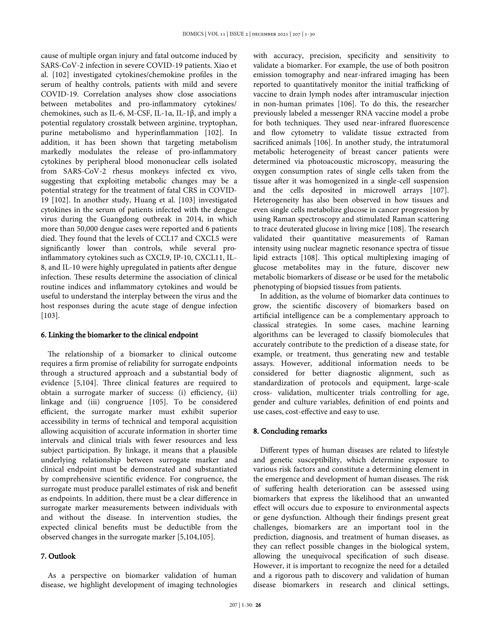cause of multiple organ injury and fatal outcome induced by SARS-CoV-2 infection in severe COVID-19 patients. Xiao et al. [102] investigated cytokines/chemokine profiles in the serum of healthy controls, patients with mild and severe COVID-19. Correlation analyses show close associations between metabolites and pro-inflammatory cytokines/ chemokines, such as IL-6, M-CSF, IL-1α, IL-1β, and imply a potential regulatory crosstalk between arginine, tryptophan, purine metabolismo and hyperinflammation [102]. In addition, it has been shown that targeting metabolism markedly modulates the release of pro-inflammatory cytokines by peripheral blood mononuclear cells isolated from SARS-CoV-2 rhesus monkeys infected ex vivo, suggesting that exploiting metabolic changes may be a potential strategy for the treatment of fatal CRS in COVID-19 [102]. In another study, Huang et al. [103] investigated cytokines in the serum of patients infected with the dengue virus during the Guangdong outbreak in 2014, in which more than 50,000 dengue cases were reported and 6 patients died. They found that the levels of CCL17 and CXCL5 were significantly lower than controls, while several proinflammatory cytokines such as CXCL9, IP-10, CXCL11, IL-8, and IL-10 were highly upregulated in patients after dengue infection. These results determine the association of clinical routine indices and inflammatory cytokines and would be useful to understand the interplay between the virus and the host responses during the acute stage of dengue infection [103].

## 6. Linking the biomarker to the clinical endpoint

The relationship of a biomarker to clinical outcome requires a firm promise of reliability for surrogate endpoints through a structured approach and a substantial body of evidence [5,104]. Three clinical features are required to obtain a surrogate marker of success: (i) efficiency, (ii) linkage and (iii) congruence [105]. To be considered efficient, the surrogate marker must exhibit superior accessibility in terms of technical and temporal acquisition allowing acquisition of accurate information in shorter time intervals and clinical trials with fewer resources and less subject participation. By linkage, it means that a plausible underlying relationship between surrogate marker and clinical endpoint must be demonstrated and substantiated by comprehensive scientific evidence. For congruence, the surrogate must produce parallel estimates of risk and benefit as endpoints. In addition, there must be a clear difference in surrogate marker measurements between individuals with and without the disease. In intervention studies, the expected clinical benefits must be deductible from the observed changes in the surrogate marker [5,104,105].

# 7. Outlook

As a perspective on biomarker validation of human disease, we highlight development of imaging technologies with accuracy, precision, specificity and sensitivity to validate a biomarker. For example, the use of both positron emission tomography and near-infrared imaging has been reported to quantitatively monitor the initial trafficking of vaccine to drain lymph nodes after intramuscular injection in non-human primates [106]. To do this, the researcher previously labeled a messenger RNA vaccine model a probe for both techniques. They used near-infrared fluorescence and flow cytometry to validate tissue extracted from sacrificed animals [106]. In another study, the intratumoral metabolic heterogeneity of breast cancer patients were determined via photoacoustic microscopy, measuring the oxygen consumption rates of single cells taken from the tissue after it was homogenized in a single-cell suspension and the cells deposited in microwell arrays [107]. Heterogeneity has also been observed in how tissues and even single cells metabolize glucose in cancer progression by using Raman spectroscopy and stimulated Raman scattering to trace deuterated glucose in living mice [108]. The research validated their quantitative measurements of Raman intensity using nuclear magnetic resonance spectra of tissue lipid extracts [108]. This optical multiplexing imaging of glucose metabolites may in the future, discover new metabolic biomarkers of disease or be used for the metabolic phenotyping of biopsied tissues from patients.

In addition, as the volume of biomarker data continues to grow, the scientific discovery of biomarkers based on artificial intelligence can be a complementary approach to classical strategies. In some cases, machine learning algorithms can be leveraged to classify biomolecules that accurately contribute to the prediction of a disease state, for example, or treatment, thus generating new and testable assays. However, additional information needs to be considered for better diagnostic alignment, such as standardization of protocols and equipment, large-scale cross- validation, multicenter trials controlling for age, gender and culture variables, definition of end points and use cases, cost-effective and easy to use.

#### 8. Concluding remarks

Different types of human diseases are related to lifestyle and genetic susceptibility, which determine exposure to various risk factors and constitute a determining element in the emergence and development of human diseases. The risk of suffering health deterioration can be assessed using biomarkers that express the likelihood that an unwanted effect will occurs due to exposure to environmental aspects or gene dysfunction. Although their findings present great challenges, biomarkers are an important tool in the prediction, diagnosis, and treatment of human diseases, as they can reflect possible changes in the biological system, allowing the unequivocal specification of such disease. However, it is important to recognize the need for a detailed and a rigorous path to discovery and validation of human disease biomarkers in research and clinical settings,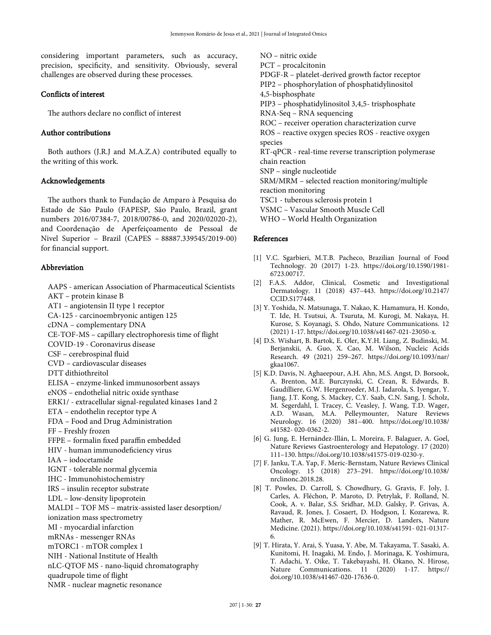considering important parameters, such as accuracy, precision, specificity, and sensitivity. Obviously, several challenges are observed during these processes.

## Conflicts of interest

The authors declare no conflict of interest

# Author contributions

Both authors (J.R.J and M.A.Z.A) contributed equally to the writing of this work.

## Acknowledgements

The authors thank to Fundação de Amparo à Pesquisa do Estado de São Paulo (FAPESP, São Paulo, Brazil, grant numbers 2016/07384-7, 2018/00786-0, and 2020/02020-2), and Coordenação de Aperfeiçoamento de Pessoal de Nivel Superior – Brazil (CAPES – 88887.339545/2019-00) for financial support.

## Abbreviation

AAPS - american Association of Pharmaceutical Scientists AKT – protein kinase B AT1 – angiotensin II type 1 receptor CA-125 - carcinoembryonic antigen 125 cDNA – complementary DNA CE-TOF-MS – capillary electrophoresis time of flight COVID-19 - Coronavirus disease CSF – cerebrospinal fluid CVD – cardiovascular diseases DTT dithiothreitol ELISA – enzyme-linked immunosorbent assays eNOS – endothelial nitric oxide synthase ERK1/ - extracellular signal-regulated kinases 1and 2 ETA – endothelin receptor type A FDA – Food and Drug Administration FF – Freshly frozen FFPE – formalin fixed paraffin embedded HIV - human immunodeficiency virus IAA – iodocetamide IGNT - tolerable normal glycemia IHC - Immunohistochemistry IRS – insulin receptor substrate LDL – low-density lipoprotein MALDI – TOF MS – matrix-assisted laser desorption/ ionization mass spectrometry MI - myocardial infarction mRNAs - messenger RNAs mTORC1 - mTOR complex 1 NIH - National Institute of Health nLC-QTOF MS - nano-liquid chromatography quadrupole time of flight NMR - nuclear magnetic resonance

NO – nitric oxide PCT – procalcitonin PDGF-R – platelet-derived growth factor receptor PIP2 – phosphorylation of phosphatidylinositol 4,5-bisphosphate PIP3 – phosphatidylinositol 3,4,5- trisphosphate RNA-Seq – RNA sequencing ROC – receiver operation characterization curve ROS – reactive oxygen species ROS - reactive oxygen species RT-qPCR - real-time reverse transcription polymerase chain reaction SNP – single nucleotide SRM/MRM – selected reaction monitoring/multiple reaction monitoring TSC1 - tuberous sclerosis protein 1 VSMC – Vascular Smooth Muscle Cell WHO – World Health Organization

## References

- [1] V.C. Sgarbieri, M.T.B. Pacheco, Brazilian Journal of Food Technology. 20 (2017) 1-23. https://doi.org/10.1590/1981- 6723.00717.
- [2] F.A.S. Addor, Clinical, Cosmetic and Investigational Dermatology. 11 (2018) 437–443. https://doi.org/10.2147/ CCID.S177448.
- [3] Y. Yoshida, N. Matsunaga, T. Nakao, K. Hamamura, H. Kondo, T. Ide, H. Tsutsui, A. Tsuruta, M. Kurogi, M. Nakaya, H. Kurose, S. Koyanagi, S. Ohdo, Nature Communications. 12 (2021) 1-17. https://doi.org/10.1038/s41467-021-23050-x.
- [4] D.S. Wishart, B. Bartok, E. Oler, K.Y.H. Liang, Z. Budinski, M. Berjanskii, A. Guo, X. Cao, M. Wilson, Nucleic Acids Research. 49 (2021) 259–267. https://doi.org/10.1093/nar/ gkaa1067.
- [5] K.D. Davis, N. Aghaeepour, A.H. Ahn, M.S. Angst, D. Borsook, A. Brenton, M.E. Burczynski, C. Crean, R. Edwards, B. Gaudilliere, G.W. Hergenroeder, M.J. Iadarola, S. Iyengar, Y. Jiang, J.T. Kong, S. Mackey, C.Y. Saab, C.N. Sang, J. Scholz, M. Segerdahl, I. Tracey, C. Veasley, J. Wang, T.D. Wager, A.D. Wasan, M.A. Pelleymounter, Nature Reviews Neurology. 16 (2020) 381–400. https://doi.org/10.1038/ s41582- 020-0362-2.
- [6] G. Jung, E. Hernández-Illán, L. Moreira, F. Balaguer, A. Goel, Nature Reviews Gastroenterology and Hepatology. 17 (2020) 111–130. https://doi.org/10.1038/s41575-019-0230-y.
- [7] F. Janku, T.A. Yap, F. Meric-Bernstam, Nature Reviews Clinical Oncology. 15 (2018) 273–291. https://doi.org/10.1038/ nrclinonc.2018.28.
- [8] T. Powles, D. Carroll, S. Chowdhury, G. Gravis, F. Joly, J. Carles, A. Fléchon, P. Maroto, D. Petrylak, F. Rolland, N. Cook, A. v. Balar, S.S. Sridhar, M.D. Galsky, P. Grivas, A. Ravaud, R. Jones, J. Cosaert, D. Hodgson, I. Kozarewa, R. Mather, R. McEwen, F. Mercier, D. Landers, Nature Medicine. (2021). https://doi.org/10.1038/s41591- 021-01317- 6.
- [9] T. Hirata, Y. Arai, S. Yuasa, Y. Abe, M. Takayama, T. Sasaki, A. Kunitomi, H. Inagaki, M. Endo, J. Morinaga, K. Yoshimura, T. Adachi, Y. Oike, T. Takebayashi, H. Okano, N. Hirose, Nature Communications. 11 (2020) 1-17. https:// doi.org/10.1038/s41467-020-17636-0.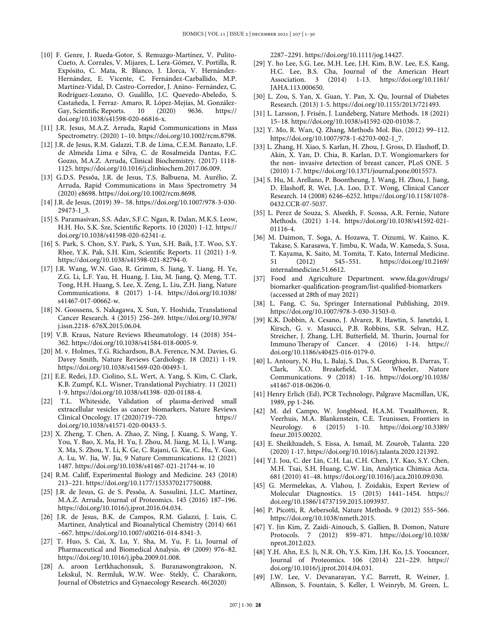- [10] F. Genre, J. Rueda-Gotor, S. Remuzgo-Martínez, V. Pulito-Cueto, A. Corrales, V. Mijares, L. Lera-Gómez, V. Portilla, R. Expósito, C. Mata, R. Blanco, J. Llorca, V. Hernández-Hernández, E. Vicente, C. Fernández-Carballido, M.P. Martínez-Vidal, D. Castro-Corredor, J. Anino- Fernández, C. Rodríguez-Lozano, O. Gualillo, J.C. Quevedo-Abeledo, S. Castañeda, I. Ferraz- Amaro, R. López-Mejías, M. González-Gay, Scientific Reports. 10 (2020) 9636. https:// doi.org/10.1038/s41598-020-66816-x.
- [11] J.R. Jesus, M.A.Z. Arruda, Rapid Communications in Mass Spectrometry. (2020) 1–10. https://doi.org/10.1002/rcm.8798.
- [12] J.R. de Jesus, R.M. Galazzi, T.B. de Lima, C.E.M. Banzato, L.F. de Almeida Lima e Silva, C. de Rosalmeida Dantas, F.C. Gozzo, M.A.Z. Arruda, Clinical Biochemistry. (2017) 1118- 1125. https://doi.org/10.1016/j.clinbiochem.2017.06.009.
- [13] G.D.S. Pessôa, J.R. de Jesus, T.S. Balbuena, M. Aurélio, Z. Arruda, Rapid Communications in Mass Spectrometry 34 (2020) e8698. https://doi.org/10.1002/rcm.8698.
- [14] J.R. de Jesus, (2019) 39– 58. https://doi.org/10.1007/978-3-030- 29473-1\_3.
- [15] S. Paramasivan, S.S. Adav, S.F.C. Ngan, R. Dalan, M.K.S. Leow, H.H. Ho, S.K. Sze, Scientific Reports. 10 (2020) 1-12. https:// doi.org/10.1038/s41598-020-62341-z.
- [16] S. Park, S. Chon, S.Y. Park, S. Yun, S.H. Baik, J.T. Woo, S.Y. Rhee, Y.K. Pak, S.H. Kim, Scientific Reports. 11 (2021) 1-9. https://doi.org/10.1038/s41598-021-82794-0.
- [17] J.R. Wang, W.N. Gao, R. Grimm, S. Jiang, Y. Liang, H. Ye, Z.G. Li, L.F. Yau, H. Huang, J. Liu, M. Jiang, Q. Meng, T.T. Tong, H.H. Huang, S. Lee, X. Zeng, L. Liu, Z.H. Jiang, Nature Communications. 8 (2017) 1-14. https://doi.org/10.1038/ s41467-017-00662-w.
- [18] N. Goossens, S. Nakagawa, X. Sun, Y. Hoshida, Translational Cancer Research. 4 (2015) 256–269. https://doi.org/10.3978/ j.issn.2218- 676X.2015.06.04.
- [19] V.B. Kraus, Nature Reviews Rheumatology. 14 (2018) 354– 362. https://doi.org/10.1038/s41584-018-0005-9.
- [20] M. v. Holmes, T.G. Richardson, B.A. Ference, N.M. Davies, G. Davey Smith, Nature Reviews Cardiology. 18 (2021) 1-19. https://doi.org/10.1038/s41569-020-00493-1.
- [21] E.E. Redei, J.D. Ciolino, S.L. Wert, A. Yang, S. Kim, C. Clark, K.B. Zumpf, K.L. Wisner, Translational Psychiatry. 11 (2021) 1-9. https://doi.org/10.1038/s41398- 020-01188-4.
- [22] T.L. Whiteside, Validation of plasma-derived small extracellular vesicles as cancer biomarkers, Nature Reviews Clinical Oncology. 17 (2020)719–720. https:// doi.org/10.1038/s41571-020-00433-5.
- [23] X. Zheng, T. Chen, A. Zhao, Z. Ning, J. Kuang, S. Wang, Y. You, Y. Bao, X. Ma, H. Yu, J. Zhou, M. Jiang, M. Li, J. Wang, X. Ma, S. Zhou, Y. Li, K. Ge, C. Rajani, G. Xie, C. Hu, Y. Guo, A. Lu, W. Jia, W. Jia, 9 Nature Communications. 12 (2021) 1487. https://doi.org/10.1038/s41467-021-21744-w. 10
- [24] R.M. Califf, Experimental Biology and Medicine. 243 (2018) 213–221. https://doi.org/10.1177/1535370217750088.
- [25] J.R. de Jesus, G. de S. Pessôa, A. Sussulini, J.L.C. Martínez, M.A.Z. Arruda, Journal of Proteomics. 145 (2016) 187–196. https://doi.org/10.1016/j.jprot.2016.04.034.
- [26] J.R. de Jesus, B.K. de Campos, R.M. Galazzi, J. Luis, C. Martinez, Analytical and Bioanalytical Chemistry (2014) 661 –667. https://doi.org/10.1007/s00216-014-8341-3.
- [27] T. Huo, S. Cai, X. Lu, Y. Sha, M. Yu, F. Li, Journal of Pharmaceutical and Biomedical Analysis. 49 (2009) 976–82. https://doi.org/10.1016/j.jpba.2009.01.008.
- [28] A. aroon Lertkhachonsuk, S. Buranawongtrakoon, N. Lekskul, N. Rermluk, W.W. Wee- Stekly, C. Charakorn, Journal of Obstetrics and Gynaecology Research. 46(2020)

2287–2291. https://doi.org/10.1111/jog.14427.

- [29] Y. ho Lee, S.G. Lee, M.H. Lee, J.H. Kim, B.W. Lee, E.S. Kang, H.C. Lee, B.S. Cha, Journal of the American Heart Association. 3 (2014) 1-13. https://doi.org/10.1161/ JAHA.113.000650.
- [30] L. Zou, S. Yan, X. Guan, Y. Pan, X. Qu, Journal of Diabetes Research. (2013) 1-5. https://doi.org/10.1155/2013/721493.
- [31] L. Larsson, J. Frisén, J. Lundeberg, Nature Methods. 18 (2021) 15–18. https://doi.org/10.1038/s41592-020-01038-7.
- [32] Y. Mo, R. Wan, Q. Zhang, Methods Mol. Bio. (2012) 99–112. https://doi.org/10.1007/978-1-62703-002-1\_7.
- [33] L. Zhang, H. Xiao, S. Karlan, H. Zhou, J. Gross, D. Elashoff, D. Akin, X. Yan, D. Chia, B. Karlan, D.T. Wongiomarkers for the non- invasive detection of breast cancer, PLoS ONE. 5 (2010) 1-7. https://doi.org/10.1371/journal.pone.0015573.
- [34] S. Hu, M. Arellano, P. Boontheung, J. Wang, H. Zhou, J. Jiang, D. Elashoff, R. Wei, J.A. Loo, D.T. Wong, Clinical Cancer Research. 14 (2008) 6246–6252. https://doi.org/10.1158/1078- 0432.CCR-07-5037.
- [35] L. Perez de Souza, S. Alseekh, F. Scossa, A.R. Fernie, Nature Methods. (2021) 1-14. https://doi.org/10.1038/s41592-021- 01116-4.
- [36] M. Daimon, T. Soga, A. Hozawa, T. Oizumi, W. Kaino, K. Takase, S. Karasawa, Y. Jimbu, K. Wada, W. Kameda, S. Susa, T. Kayama, K. Saito, M. Tomita, T. Kato, Internal Medicine. 51 (2012) 545–551. https://doi.org/10.2169/ internalmedicine.51.6612.
- [37] Food and Agriculture Department. www.fda.gov/drugs/ biomarker-qualification-program/list-qualified-biomarkers (accessed at 28th of may 2021)
- [38] L. Fang, C. Su, Springer International Publishing, 2019. https://doi.org/10.1007/978-3-030-31503-0.
- [39] K.K. Dobbin, A. Cesano, J. Alvarez, R. Hawtin, S. Janetzki, I. Kirsch, G. v. Masucci, P.B. Robbins, S.R. Selvan, H.Z. Streicher, J. Zhang, L.H. Butterfield, M. Thurin, Journal for Immuno Therapy of Cancer. 4 (2016) 1-14. https:// doi.org/10.1186/s40425-016-0179-0.
- [40] L. Antoury, N. Hu, L. Balaj, S. Das, S. Georghiou, B. Darras, T. Clark, X.O. Breakefield, T.M. Wheeler, Nature Communications. 9 (2018) 1-16. https://doi.org/10.1038/ s41467-018-06206-0.
- [41] Henry Erlich (Ed), PCR Technology, Palgrave Macmillan, UK, 1989, pp 1-246.
- [42] M. del Campo, W. Jongbloed, H.A.M. Twaalfhoven, R. Veerhuis, M.A. Blankenstein, C.E. Teunissen, Frontiers in Neurology. 6 (2015) 1-10. https://doi.org/10.3389/ fneur.2015.00202.
- [43] E. Sheikhzadeh, S. Eissa, A. Ismail, M. Zourob, Talanta. 220 (2020) 1-17. https://doi.org/10.1016/j.talanta.2020.121392.
- [44] Y.J. Jou, C. der Lin, C.H. Lai, C.H. Chen, J.Y. Kao, S.Y. Chen, M.H. Tsai, S.H. Huang, C.W. Lin, Analytica Chimica Acta. 681 (2010) 41–48. https://doi.org/10.1016/j.aca.2010.09.030.
- [45] G. Mermelekas, A. Vlahou, J. Zoidakis, Expert Review of Molecular Diagnostics. 15 (2015) 1441–1454. https:// doi.org/10.1586/14737159.2015.1093937.
- [46] P. Picotti, R. Aebersold, Nature Methods. 9 (2012) 555–566. https://doi.org/10.1038/nmeth.2015.
- [47] Y. Jin Kim, Z. Zaidi-Ainouch, S. Gallien, B. Domon, Nature Protocols. 7 (2012) 859–871. https://doi.org/10.1038/ nprot.2012.023.
- [48] Y.H. Ahn, E.S. Ji, N.R. Oh, Y.S. Kim, J.H. Ko, J.S. Yoocancer, Journal of Proteomics. 106 (2014) 221–229. https:// doi.org/10.1016/j.jprot.2014.04.031.
- [49] J.W. Lee, V. Devanarayan, Y.C. Barrett, R. Weiner, J. Allinson, S. Fountain, S. Keller, I. Weinryb, M. Green, L.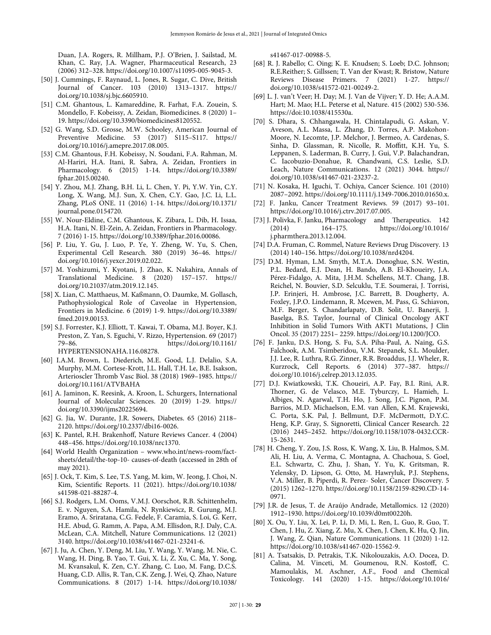Duan, J.A. Rogers, R. Millham, P.J. O'Brien, J. Sailstad, M. Khan, C. Ray, J.A. Wagner, Pharmaceutical Research, 23 (2006) 312–328. https://doi.org/10.1007/s11095-005-9045-3.

- [50] J. Cummings, F. Raynaud, L. Jones, R. Sugar, C. Dive, British Journal of Cancer. 103 (2010) 1313–1317. https:// doi.org/10.1038/sj.bjc.6605910.
- [51] C.M. Ghantous, L. Kamareddine, R. Farhat, F.A. Zouein, S. Mondello, F. Kobeissy, A. Zeidan, Biomedicines. 8 (2020) 1– 19. https://doi.org/10.3390/biomedicines8120552.
- [52] G. Wang, S.D. Grosse, M.W. Schooley, American Journal of Preventive Medicine. 53 (2017) S115–S117. https:// doi.org/10.1016/j.amepre.2017.08.005.
- [53] C.M. Ghantous, F.H. Kobeissy, N. Soudani, F.A. Rahman, M. Al-Hariri, H.A. Itani, R. Sabra, A. Zeidan, Frontiers in Pharmacology. 6 (2015) 1-14. https://doi.org/10.3389/ fphar.2015.00240.
- [54] Y. Zhou, M.J. Zhang, B.H. Li, L. Chen, Y. Pi, Y.W. Yin, C.Y. Long, X. Wang, M.J. Sun, X. Chen, C.Y. Gao, J.C. Li, L.L. Zhang, PLoS ONE. 11 (2016) 1-14. https://doi.org/10.1371/ journal.pone.0154720.
- [55] W. Nour-Eldine, C.M. Ghantous, K. Zibara, L. Dib, H. Issaa, H.A. Itani, N. El-Zein, A. Zeidan, Frontiers in Pharmacology. 7 (2016) 1-15. https://doi.org/10.3389/fphar.2016.00086.
- [56] P. Liu, Y. Gu, J. Luo, P. Ye, Y. Zheng, W. Yu, S. Chen, Experimental Cell Research. 380 (2019) 36–46. https:// doi.org/10.1016/j.yexcr.2019.02.022.
- [57] M. Yoshizumi, Y. Kyotani, J. Zhao, K. Nakahira, Annals of Translational Medicine. 8 (2020) 157–157. https:// doi.org/10.21037/atm.2019.12.145.
- [58] X. Lian, C. Matthaeus, M. Kaßmann, O. Daumke, M. Gollasch, Pathophysiological Role of Caveolae in Hypertension, Frontiers in Medicine. 6 (2019) 1-9. https://doi.org/10.3389/ fmed.2019.00153.
- [59] S.J. Forrester, K.J. Elliott, T. Kawai, T. Obama, M.J. Boyer, K.J. Preston, Z. Yan, S. Eguchi, V. Rizzo, Hypertension. 69 (2017) 79–86. https://doi.org/10.1161/ HYPERTENSIONAHA.116.08278.
- [60] I.A.M. Brown, L. Diederich, M.E. Good, L.J. Delalio, S.A. Murphy, M.M. Cortese-Krott, J.L. Hall, T.H. Le, B.E. Isakson, Arterioscler Thromb Vasc Biol. 38 (2018) 1969–1985. https:// doi.org/10.1161/ATVBAHA
- [61] A. Jaminon, K. Reesink, A. Kroon, L. Schurgers, International Journal of Molecular Sciences. 20 (2019) 1-29. https:// doi.org/10.3390/ijms20225694.
- [62] G. Jia, W. Durante, J.R. Sowers, Diabetes. 65 (2016) 2118– 2120. https://doi.org/10.2337/dbi16-0026.
- [63] K. Pantel, R.H. Brakenhoff, Nature Reviews Cancer. 4 (2004) 448–456. https://doi.org/10.1038/nrc1370.
- [64] World Health Organization www.who.int/news-room/factsheets/detail/the-top-10- causes-of-death (accessed in 28th of may 2021).
- [65] J. Ock, T. Kim, S. Lee, T.S. Yang, M. kim, W. Jeong, J. Choi, N. Kim, Scientific Reports. 11 (2021). https://doi.org/10.1038/ s41598-021-88287-4.
- [66] S.J. Rodgers, L.M. Ooms, V.M.J. Oorschot, R.B. Schittenhelm, E. v. Nguyen, S.A. Hamila, N. Rynkiewicz, R. Gurung, M.J. Eramo, A. Sriratana, C.G. Fedele, F. Caramia, S. Loi, G. Kerr, H.E. Abud, G. Ramm, A. Papa, A.M. Ellisdon, R.J. Daly, C.A. McLean, C.A. Mitchell, Nature Communications. 12 (2021) 3140. https://doi.org/10.1038/s41467-021-23241-6.
- [67] J. Ju, A. Chen, Y. Deng, M. Liu, Y. Wang, Y. Wang, M. Nie, C. Wang, H. Ding, B. Yao, T. Gui, X. Li, Z. Xu, C. Ma, Y. Song, M. Kvansakul, K. Zen, C.Y. Zhang, C. Luo, M. Fang, D.C.S. Huang, C.D. Allis, R. Tan, C.K. Zeng, J. Wei, Q. Zhao, Nature Communications. 8 (2017) 1-14. https://doi.org/10.1038/

s41467-017-00988-5.

- [68] R. J. Rabello; C. Oing; K. E. Knudsen; S. Loeb; D.C. Johnson; R.E.Reither; S. Gillssen; T. Van der Kwast; R. Bristow, Nature Reviews Disease Primers. 7 (2021) 1-27. https:// doi.org/10.1038/s41572-021-00249-2.
- [69] L. J. van't Veer; H. Day; M. J. Van de Vijver; Y. D. He; A.A.M. Hart; M. Mao; H.L. Peterse et al, Nature. 415 (2002) 530-536. https://doi:10.1038/415530a.
- [70] S. Dhara, S. Chhangawala, H. Chintalapudi, G. Askan, V. Aveson, A.L. Massa, L. Zhang, D. Torres, A.P. Makohon-Moore, N. Lecomte, J.P. Melchor, J. Bermeo, A. Cardenas, S. Sinha, D. Glassman, R. Nicolle, R. Moffitt, K.H. Yu, S. Leppanen, S. Laderman, B. Curry, J. Gui, V.P. Balachandran, C. Iacobuzio-Donahue, R. Chandwani, C.S. Leslie, S.D. Leach, Nature Communications. 12 (2021) 3044. https:// doi.org/10.1038/s41467-021-23237-2.
- [71] N. Kosaka, H. Iguchi, T. Ochiya, Cancer Science. 101 (2010) 2087–2092. https://doi.org/10.1111/j.1349-7006.2010.01650.x.
- [72] F. Janku, Cancer Treatment Reviews. 59 (2017) 93–101. https://doi.org/10.1016/j.ctrv.2017.07.005.
- [73] J. Polivka, F. Janku, Pharmacology and Therapeutics. 142 (2014) 164–175. https://doi.org/10.1016/ j.pharmthera.2013.12.004.
- [74] D.A. Fruman, C. Rommel, Nature Reviews Drug Discovery. 13 (2014) 140–156. https://doi.org/10.1038/nrd4204.
- [75] D.M. Hyman, L.M. Smyth, M.T.A. Donoghue, S.N. Westin, P.L. Bedard, E.J. Dean, H. Bando, A.B. El-Khoueiry, J.A. Pérez-Fidalgo, A. Mita, J.H.M. Schellens, M.T. Chang, J.B. Reichel, N. Bouvier, S.D. Selcuklu, T.E. Soumerai, J. Torrisi, J.P. Erinjeri, H. Ambrose, J.C. Barrett, B. Dougherty, A. Foxley, J.P.O. Lindemann, R. Mcewen, M. Pass, G. Schiavon, M.F. Berger, S. Chandarlapaty, D.B. Solit, U. Banerji, J. Baselga, B.S. Taylor, Journal of Clinical Oncology AKT Inhibition in Solid Tumors With AKT1 Mutations, J Clin Oncol. 35 (2017) 2251– 2259. https://doi.org/10.1200/JCO.
- [76] F. Janku, D.S. Hong, S. Fu, S.A. Piha-Paul, A. Naing, G.S. Falchook, A.M. Tsimberidou, V.M. Stepanek, S.L. Moulder, J.J. Lee, R. Luthra, R.G. Zinner, R.R. Broaddus, J.J. Wheler, R. Kurzrock, Cell Reports. 6 (2014) 377–387. https:// doi.org/10.1016/j.celrep.2013.12.035.
- [77] D.J. Kwiatkowski, T.K. Choueiri, A.P. Fay, B.I. Rini, A.R. Thorner, G. de Velasco, M.E. Tyburczy, L. Hamieh, L. Albiges, N. Agarwal, T.H. Ho, J. Song, J.C. Pignon, P.M. Barrios, M.D. Michaelson, E.M. van Allen, K.M. Krajewski, C. Porta, S.K. Pal, J. Bellmunt, D.F. McDermott, D.Y.C. Heng, K.P. Gray, S. Signoretti, Clinical Cancer Research. 22 (2016) 2445–2452. https://doi.org/10.1158/1078-0432.CCR-15-2631.
- [78] H. Cheng, Y. Zou, J.S. Ross, K. Wang, X. Liu, B. Halmos, S.M. Ali, H. Liu, A. Verma, C. Montagna, A. Chachoua, S. Goel, E.L. Schwartz, C. Zhu, J. Shan, Y. Yu, K. Gritsman, R. Yelensky, D. Lipson, G. Otto, M. Hawryluk, P.J. Stephens, V.A. Miller, B. Piperdi, R. Perez- Soler, Cancer Discovery. 5 (2015) 1262–1270. https://doi.org/10.1158/2159-8290.CD-14- 0971.
- [79] J.R. de Jesus, T. de Araújo Andrade, Metallomics. 12 (2020) 1912–1930. https://doi.org/10.1039/d0mt00220h.
- [80] X. Ou, Y. Liu, X. Lei, P. Li, D. Mi, L. Ren, L. Guo, R. Guo, T. Chen, J. Hu, Z. Xiang, Z. Mu, X. Chen, J. Chen, K. Hu, Q. Jin, J. Wang, Z. Qian, Nature Communications. 11 (2020) 1-12. https://doi.org/10.1038/s41467-020-15562-9.
- [81] A. Tsatsakis, D. Petrakis, T.K. Nikolouzakis, A.O. Docea, D. Calina, M. Vinceti, M. Goumenou, R.N. Kostoff, C. Mamoulakis, M. Aschner, A.F., Food and Chemical Toxicology. 141 (2020) 1-15. https://doi.org/10.1016/